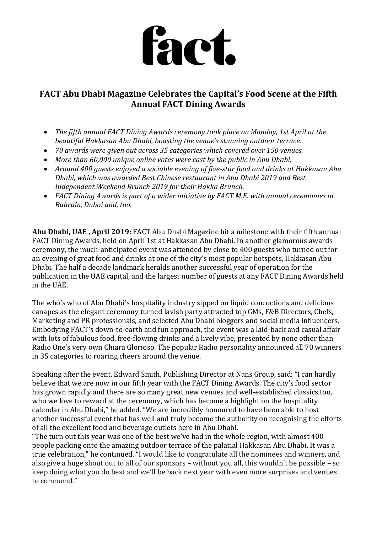

# **FACT Abu Dhabi Magazine Celebrates the Capital's Food Scene at the Fifth Annual FACT Dining Awards**

- *The fifth annual FACT Dining Awards ceremony took place on Monday, 1st April at the beautiful Hakkasan Abu Dhabi, boasting the venue's stunning outdoor terrace.*
- *70 awards were given out across 35 categories which covered over 150 venues.*
- *More than 60,000 unique online votes were cast by the public in Abu Dhabi.*
- *Around 400 guests enjoyed a sociable evening of five-star food and drinks at Hakkasan Abu Dhabi, which was awarded Best Chinese restaurant in Abu Dhabi 2019 and Best Independent Weekend Brunch 2019 for their Hakka Brunch.*
- *FACT Dining Awards is part of a wider initiative by FACT M.E. with annual ceremonies in Bahrain, Dubai and, too.*

**Abu Dhabi, UAE , April 2019:** FACT Abu Dhabi Magazine hit a milestone with their fifth annual FACT Dining Awards, held on April 1st at Hakkasan Abu Dhabi. In another glamorous awards ceremony, the much-anticipated event was attended by close to 400 guests who turned out for an evening of great food and drinks at one of the city's most popular hotspots, Hakkasan Abu Dhabi. The half a decade landmark heralds another successful year of operation for the publication in the UAE capital, and the largest number of guests at any FACT Dining Awards held in the UAE.

The who's who of Abu Dhabi's hospitality industry sipped on liquid concoctions and delicious canapes as the elegant ceremony turned lavish party attracted top GMs, F&B Directors, Chefs, Marketing and PR professionals, and selected Abu Dhabi bloggers and social media influencers. Embodying FACT's down-to-earth and fun approach, the event was a laid-back and casual affair with lots of fabulous food, free-flowing drinks and a lively vibe, presented by none other than Radio One's very own Chiara Glorioso. The popular Radio personality announced all 70 winners in 35 categories to roaring cheers around the venue.

Speaking after the event, Edward Smith, Publishing Director at Nans Group, said: "I can hardly believe that we are now in our fifth year with the FACT Dining Awards. The city's food sector has grown rapidly and there are so many great new venues and well-established classics too, who we love to reward at the ceremony, which has become a highlight on the hospitality calendar in Abu Dhabi," he added. "We are incredibly honoured to have been able to host another successful event that has well and truly become the authority on recognising the efforts of all the excellent food and beverage outlets here in Abu Dhabi.

"The turn out this year was one of the best we've had in the whole region, with almost 400 people packing onto the amazing outdoor terrace of the palatial Hakkasan Abu Dhabi. It was a true celebration," he continued. "I would like to congratulate all the nominees and winners, and also give a huge shout out to all of our sponsors – without you all, this wouldn't be possible – so keep doing what you do best and we'll be back next year with even more surprises and venues to commend."